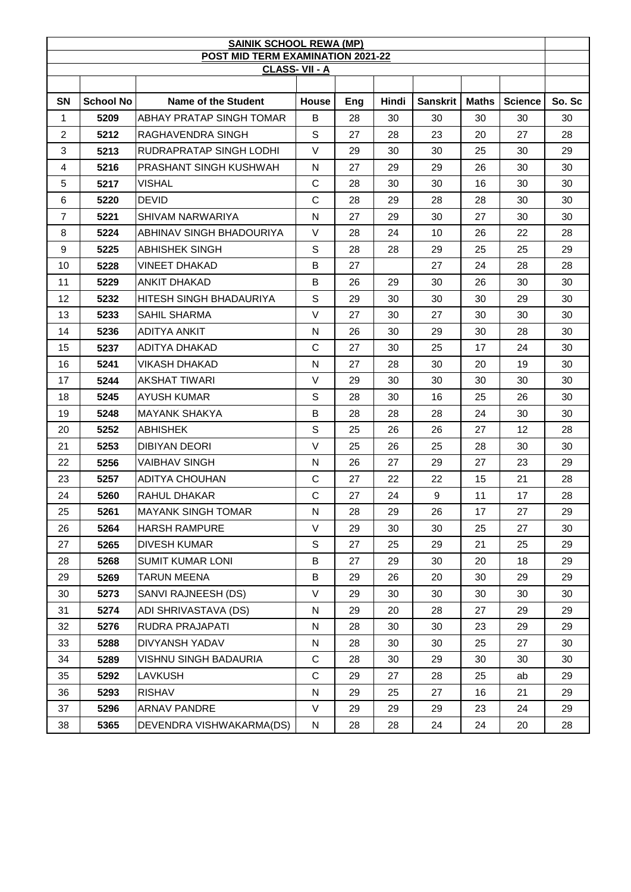| <b>SAINIK SCHOOL REWA (MP)</b>                     |                  |                                |              |     |              |                 |              |                |        |  |
|----------------------------------------------------|------------------|--------------------------------|--------------|-----|--------------|-----------------|--------------|----------------|--------|--|
| POST MID TERM EXAMINATION 2021-22<br>CLASS-VII - A |                  |                                |              |     |              |                 |              |                |        |  |
|                                                    |                  |                                |              |     |              |                 |              |                |        |  |
| <b>SN</b>                                          | <b>School No</b> | Name of the Student            | <b>House</b> | Eng | <b>Hindi</b> | <b>Sanskrit</b> | <b>Maths</b> | <b>Science</b> | So. Sc |  |
| 1                                                  | 5209             | ABHAY PRATAP SINGH TOMAR       | B            | 28  | 30           | 30              | 30           | 30             | 30     |  |
| $\overline{c}$                                     | 5212             | RAGHAVENDRA SINGH              | S            | 27  | 28           | 23              | 20           | 27             | 28     |  |
| 3                                                  | 5213             | <b>RUDRAPRATAP SINGH LODHI</b> | V            | 29  | 30           | 30              | 25           | 30             | 29     |  |
| 4                                                  | 5216             | <b>PRASHANT SINGH KUSHWAH</b>  | N            | 27  | 29           | 29              | 26           | 30             | 30     |  |
| 5                                                  | 5217             | <b>VISHAL</b>                  | C            | 28  | 30           | 30              | 16           | 30             | 30     |  |
| 6                                                  | 5220             | <b>DEVID</b>                   | $\mathbf C$  | 28  | 29           | 28              | 28           | 30             | 30     |  |
| $\overline{7}$                                     | 5221             | SHIVAM NARWARIYA               | N            | 27  | 29           | 30              | 27           | 30             | 30     |  |
| 8                                                  | 5224             | ABHINAV SINGH BHADOURIYA       | V            | 28  | 24           | 10              | 26           | 22             | 28     |  |
| 9                                                  | 5225             | ABHISHEK SINGH                 | S            | 28  | 28           | 29              | 25           | 25             | 29     |  |
| 10                                                 | 5228             | <b>VINEET DHAKAD</b>           | B            | 27  |              | 27              | 24           | 28             | 28     |  |
| 11                                                 | 5229             | ANKIT DHAKAD                   | B            | 26  | 29           | 30              | 26           | 30             | 30     |  |
| 12                                                 | 5232             | HITESH SINGH BHADAURIYA        | S            | 29  | 30           | 30              | 30           | 29             | 30     |  |
| 13                                                 | 5233             | SAHIL SHARMA                   | V            | 27  | 30           | 27              | 30           | 30             | 30     |  |
| 14                                                 | 5236             | <b>ADITYA ANKIT</b>            | N            | 26  | 30           | 29              | 30           | 28             | 30     |  |
| 15                                                 | 5237             | <b>ADITYA DHAKAD</b>           | C            | 27  | 30           | 25              | 17           | 24             | 30     |  |
| 16                                                 | 5241             | <b>VIKASH DHAKAD</b>           | N            | 27  | 28           | 30              | 20           | 19             | 30     |  |
| 17                                                 | 5244             | AKSHAT TIWARI                  | V            | 29  | 30           | 30              | 30           | 30             | 30     |  |
| 18                                                 | 5245             | AYUSH KUMAR                    | S            | 28  | 30           | 16              | 25           | 26             | 30     |  |
| 19                                                 | 5248             | <b>MAYANK SHAKYA</b>           | B            | 28  | 28           | 28              | 24           | 30             | 30     |  |
| 20                                                 | 5252             | <b>ABHISHEK</b>                | S            | 25  | 26           | 26              | 27           | 12             | 28     |  |
| 21                                                 | 5253             | <b>DIBIYAN DEORI</b>           | $\vee$       | 25  | 26           | 25              | 28           | 30             | 30     |  |
| 22                                                 | 5256             | <b>VAIBHAV SINGH</b>           | N            | 26  | 27           | 29              | 27           | 23             | 29     |  |
| 23                                                 | 5257             | <b>ADITYA CHOUHAN</b>          | $\mathsf{C}$ | 27  | 22           | 22              | 15           | 21             | 28     |  |
| 24                                                 | 5260             | RAHUL DHAKAR                   | C            | 27  | 24           | 9               | 11           | 17             | 28     |  |
| 25                                                 | 5261             | <b>MAYANK SINGH TOMAR</b>      | N            | 28  | 29           | 26              | 17           | 27             | 29     |  |
| 26                                                 | 5264             | <b>HARSH RAMPURE</b>           | V            | 29  | 30           | 30              | 25           | 27             | 30     |  |
| 27                                                 | 5265             | <b>DIVESH KUMAR</b>            | S            | 27  | 25           | 29              | 21           | 25             | 29     |  |
| 28                                                 | 5268             | <b>SUMIT KUMAR LONI</b>        | B            | 27  | 29           | 30              | 20           | 18             | 29     |  |
| 29                                                 | 5269             | <b>TARUN MEENA</b>             | В            | 29  | 26           | 20              | 30           | 29             | 29     |  |
| 30                                                 | 5273             | SANVI RAJNEESH (DS)            | V            | 29  | 30           | 30              | 30           | 30             | 30     |  |
| 31                                                 | 5274             | ADI SHRIVASTAVA (DS)           | N            | 29  | 20           | 28              | 27           | 29             | 29     |  |
| 32                                                 | 5276             | RUDRA PRAJAPATI                | N            | 28  | 30           | 30              | 23           | 29             | 29     |  |
| 33                                                 | 5288             | <b>DIVYANSH YADAV</b>          | N.           | 28  | 30           | 30              | 25           | 27             | 30     |  |
| 34                                                 | 5289             | VISHNU SINGH BADAURIA          | C            | 28  | 30           | 29              | 30           | 30             | 30     |  |
| 35                                                 | 5292             | LAVKUSH                        | $\mathsf C$  | 29  | 27           | 28              | 25           | ab             | 29     |  |
| 36                                                 | 5293             | <b>RISHAV</b>                  | N            | 29  | 25           | 27              | 16           | 21             | 29     |  |
| 37                                                 | 5296             | <b>ARNAV PANDRE</b>            | V            | 29  | 29           | 29              | 23           | 24             | 29     |  |
| 38                                                 | 5365             | DEVENDRA VISHWAKARMA(DS)       | $\mathsf{N}$ | 28  | 28           | 24              | 24           | 20             | 28     |  |